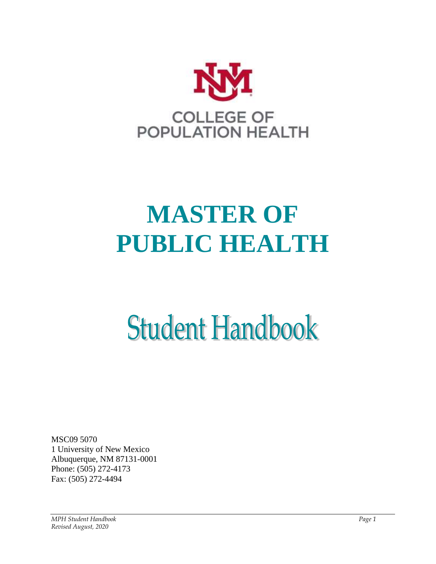

# **MASTER OF PUBLIC HEALTH**

# **Student Handbook**

MSC09 5070 1 University of New Mexico Albuquerque, NM 87131-0001 Phone: (505) 272-4173 Fax: (505) 272-4494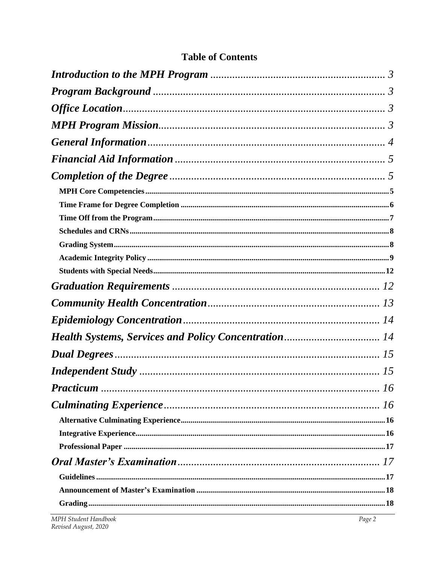# <span id="page-1-0"></span>**Table of Contents**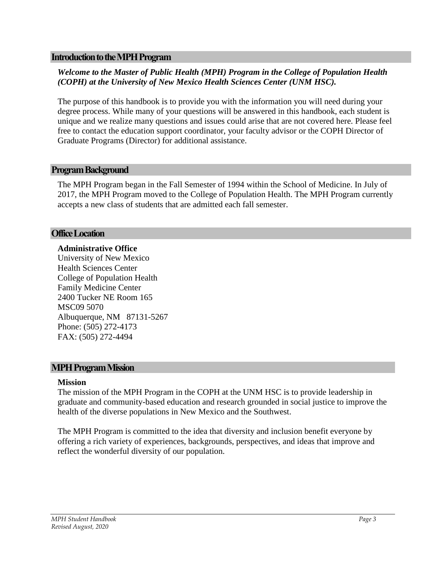#### **Introduction to the MPH Program**

# *Welcome to the Master of Public Health (MPH) Program in the College of Population Health (COPH) at the University of New Mexico Health Sciences Center (UNM HSC).*

The purpose of this handbook is to provide you with the information you will need during your degree process. While many of your questions will be answered in this handbook, each student is unique and we realize many questions and issues could arise that are not covered here. Please feel free to contact the education support coordinator, your faculty advisor or the COPH Director of Graduate Programs (Director) for additional assistance.

# <span id="page-2-0"></span>**Program Background**

The MPH Program began in the Fall Semester of 1994 within the School of Medicine. In July of 2017, the MPH Program moved to the College of Population Health. The MPH Program currently accepts a new class of students that are admitted each fall semester.

#### <span id="page-2-1"></span>**Office Location**

#### **Administrative Office**

University of New Mexico Health Sciences Center College of Population Health Family Medicine Center 2400 Tucker NE Room 165 MSC09 5070 Albuquerque, NM 87131-5267 Phone: (505) 272-4173 FAX: (505) 272-4494

#### <span id="page-2-2"></span>**MPH Program Mission**

#### **Mission**

The mission of the MPH Program in the COPH at the UNM HSC is to provide leadership in graduate and community-based education and research grounded in social justice to improve the health of the diverse populations in New Mexico and the Southwest.

The MPH Program is committed to the idea that diversity and inclusion benefit everyone by offering a rich variety of experiences, backgrounds, perspectives, and ideas that improve and reflect the wonderful diversity of our population.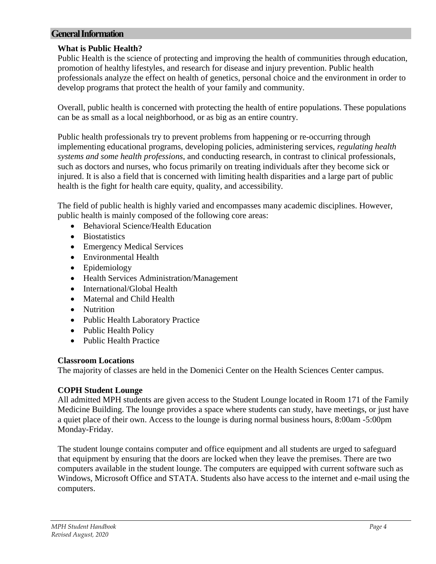# <span id="page-3-0"></span>**General Information**

# **What is Public Health?**

Public Health is the science of protecting and improving the health of communities through education, promotion of healthy lifestyles, and research for disease and injury prevention. Public health professionals analyze the effect on health of genetics, personal choice and the environment in order to develop programs that protect the health of your family and community.

Overall, public health is concerned with protecting the health of entire populations. These populations can be as small as a local neighborhood, or as big as an entire country.

Public health professionals try to prevent problems from happening or re-occurring through implementing educational programs, developing policies, administering services, *regulating health systems and some health professions*, and conducting research, in contrast to clinical professionals, such as doctors and nurses, who focus primarily on treating individuals after they become sick or injured. It is also a field that is concerned with limiting health disparities and a large part of public health is the fight for health care equity, quality, and accessibility.

The field of public health is highly varied and encompasses many academic disciplines. However, public health is mainly composed of the following core areas:

- [Behavioral Science/Health Education](http://www.whatispublichealth.org/what/index.html#Behavioral)
- [Biostatistics](http://www.whatispublichealth.org/what/index.html#Biostatistics)
- [Emergency Medical Services](http://www.whatispublichealth.org/what/index.html#Emergency)
- [Environmental Health](http://www.whatispublichealth.org/what/index.html#Environmental)
- [Epidemiology](http://www.whatispublichealth.org/what/index.html#Epidemiology)
- [Health Services Administration/Management](http://www.whatispublichealth.org/what/index.html#Administration)
- [International/Global Health](http://www.whatispublichealth.org/what/index.html#International)
- [Maternal and Child Health](http://www.whatispublichealth.org/what/index.html#Maternal)
- [Nutrition](http://www.whatispublichealth.org/what/index.html#Nutrition)
- [Public Health Laboratory Practice](http://www.whatispublichealth.org/what/index.html#Laboratory)
- [Public Health Policy](http://www.whatispublichealth.org/what/index.html#Policy)
- [Public Health Practice](http://www.whatispublichealth.org/what/index.html#Practice)

# **Classroom Locations**

The majority of classes are held in the Domenici Center on the Health Sciences Center campus.

# **COPH Student Lounge**

All admitted MPH students are given access to the Student Lounge located in Room 171 of the Family Medicine Building. The lounge provides a space where students can study, have meetings, or just have a quiet place of their own. Access to the lounge is during normal business hours, 8:00am -5:00pm Monday-Friday.

The student lounge contains computer and office equipment and all students are urged to safeguard that equipment by ensuring that the doors are locked when they leave the premises. There are two computers available in the student lounge. The computers are equipped with current software such as Windows, Microsoft Office and STATA. Students also have access to the internet and e-mail using the computers.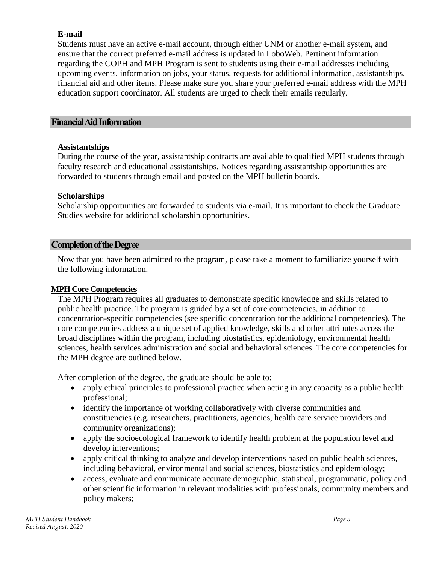# **E-mail**

Students must have an active e-mail account, through either UNM or another e-mail system, and ensure that the correct preferred e-mail address is updated in LoboWeb. Pertinent information regarding the COPH and MPH Program is sent to students using their e-mail addresses including upcoming events, information on jobs, your status, requests for additional information, assistantships, financial aid and other items. Please make sure you share your preferred e-mail address with the MPH education support coordinator. All students are urged to check their emails regularly.

# <span id="page-4-0"></span>**Financial Aid Information**

# **Assistantships**

During the course of the year, assistantship contracts are available to qualified MPH students through faculty research and educational assistantships. Notices regarding assistantship opportunities are forwarded to students through email and posted on the MPH bulletin boards.

# **Scholarships**

Scholarship opportunities are forwarded to students via e-mail. It is important to check the Graduate Studies website for additional scholarship opportunities.

# <span id="page-4-1"></span>**Completion of the Degree**

Now that you have been admitted to the program, please take a moment to familiarize yourself with the following information.

# <span id="page-4-2"></span>**MPH Core Competencies**

The MPH Program requires all graduates to demonstrate specific knowledge and skills related to public health practice. The program is guided by a set of core competencies, in addition to concentration-specific competencies (see specific concentration for the additional competencies). The core competencies address a unique set of applied knowledge, skills and other attributes across the broad disciplines within the program, including biostatistics, epidemiology, environmental health sciences, health services administration and social and behavioral sciences. The core competencies for the MPH degree are outlined below.

After completion of the degree, the graduate should be able to:

- apply ethical principles to professional practice when acting in any capacity as a public health professional;
- identify the importance of working collaboratively with diverse communities and constituencies (e.g. researchers, practitioners, agencies, health care service providers and community organizations);
- apply the socioecological framework to identify health problem at the population level and develop interventions;
- apply critical thinking to analyze and develop interventions based on public health sciences, including behavioral, environmental and social sciences, biostatistics and epidemiology;
- access, evaluate and communicate accurate demographic, statistical, programmatic, policy and other scientific information in relevant modalities with professionals, community members and policy makers;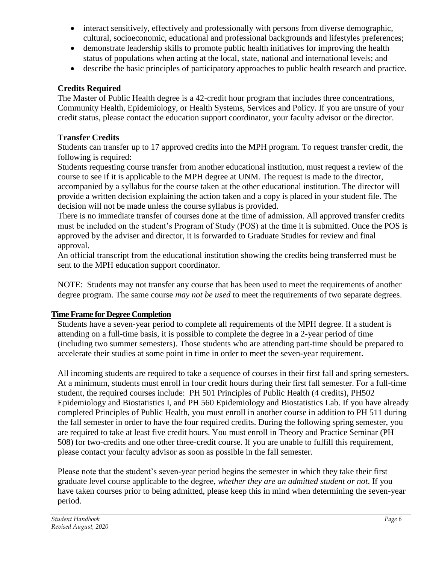- interact sensitively, effectively and professionally with persons from diverse demographic, cultural, socioeconomic, educational and professional backgrounds and lifestyles preferences;
- demonstrate leadership skills to promote public health initiatives for improving the health status of populations when acting at the local, state, national and international levels; and
- describe the basic principles of participatory approaches to public health research and practice.

# **Credits Required**

The Master of Public Health degree is a 42-credit hour program that includes three concentrations, Community Health, Epidemiology, or Health Systems, Services and Policy. If you are unsure of your credit status, please contact the education support coordinator, your faculty advisor or the director.

# **Transfer Credits**

Students can transfer up to 17 approved credits into the MPH program. To request transfer credit, the following is required:

Students requesting course transfer from another educational institution, must request a review of the course to see if it is applicable to the MPH degree at UNM. The request is made to the director, accompanied by a syllabus for the course taken at the other educational institution. The director will provide a written decision explaining the action taken and a copy is placed in your student file. The decision will not be made unless the course syllabus is provided.

There is no immediate transfer of courses done at the time of admission. All approved transfer credits must be included on the student's Program of Study (POS) at the time it is submitted. Once the POS is approved by the adviser and director, it is forwarded to Graduate Studies for review and final approval.

An official transcript from the educational institution showing the credits being transferred must be sent to the MPH education support coordinator.

NOTE: Students may not transfer any course that has been used to meet the requirements of another degree program. The same course *may not be used* to meet the requirements of two separate degrees.

# <span id="page-5-0"></span>**Time Frame for Degree Completion**

Students have a seven-year period to complete all requirements of the MPH degree. If a student is attending on a full-time basis, it is possible to complete the degree in a 2-year period of time (including two summer semesters). Those students who are attending part-time should be prepared to accelerate their studies at some point in time in order to meet the seven-year requirement.

All incoming students are required to take a sequence of courses in their first fall and spring semesters. At a minimum, students must enroll in four credit hours during their first fall semester. For a full-time student, the required courses include: PH 501 Principles of Public Health (4 credits), PH502 Epidemiology and Biostatistics I, and PH 560 Epidemiology and Biostatistics Lab. If you have already completed Principles of Public Health, you must enroll in another course in addition to PH 511 during the fall semester in order to have the four required credits. During the following spring semester, you are required to take at least five credit hours. You must enroll in Theory and Practice Seminar (PH 508) for two-credits and one other three-credit course. If you are unable to fulfill this requirement, please contact your faculty advisor as soon as possible in the fall semester.

Please note that the student's seven-year period begins the semester in which they take their first graduate level course applicable to the degree, *whether they are an admitted student or not*. If you have taken courses prior to being admitted, please keep this in mind when determining the seven-year period.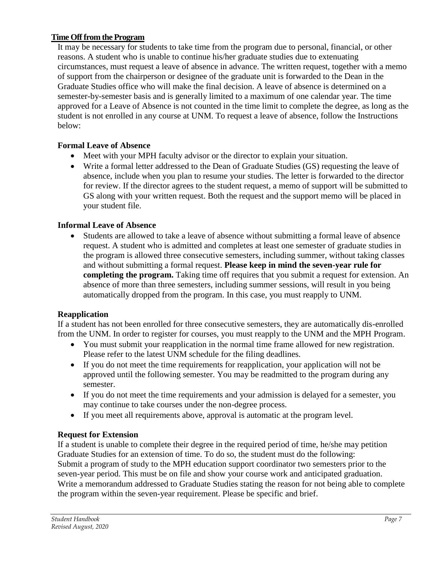# <span id="page-6-0"></span>**Time Off from the Program**

It may be necessary for students to take time from the program due to personal, financial, or other reasons. A student who is unable to continue his/her graduate studies due to extenuating circumstances, must request a leave of absence in advance. The written request, together with a memo of support from the chairperson or designee of the graduate unit is forwarded to the Dean in the Graduate Studies office who will make the final decision. A leave of absence is determined on a semester-by-semester basis and is generally limited to a maximum of one calendar year. The time approved for a Leave of Absence is not counted in the time limit to complete the degree, as long as the student is not enrolled in any course at UNM. To request a leave of absence, follow the Instructions below:

# **Formal Leave of Absence**

- Meet with your MPH faculty advisor or the director to explain your situation.
- Write a formal letter addressed to the Dean of Graduate Studies (GS) requesting the leave of absence, include when you plan to resume your studies. The letter is forwarded to the director for review. If the director agrees to the student request, a memo of support will be submitted to GS along with your written request. Both the request and the support memo will be placed in your student file.

# **Informal Leave of Absence**

 Students are allowed to take a leave of absence without submitting a formal leave of absence request. A student who is admitted and completes at least one semester of graduate studies in the program is allowed three consecutive semesters, including summer, without taking classes and without submitting a formal request. **Please keep in mind the seven-year rule for completing the program.** Taking time off requires that you submit a request for extension. An absence of more than three semesters, including summer sessions, will result in you being automatically dropped from the program. In this case, you must reapply to UNM.

# **Reapplication**

If a student has not been enrolled for three consecutive semesters, they are automatically dis-enrolled from the UNM. In order to register for courses, you must reapply to the UNM and the MPH Program.

- You must submit your reapplication in the normal time frame allowed for new registration. Please refer to the latest UNM schedule for the filing deadlines.
- If you do not meet the time requirements for reapplication, your application will not be approved until the following semester. You may be readmitted to the program during any semester.
- If you do not meet the time requirements and your admission is delayed for a semester, you may continue to take courses under the non-degree process.
- If you meet all requirements above, approval is automatic at the program level.

# **Request for Extension**

If a student is unable to complete their degree in the required period of time, he/she may petition Graduate Studies for an extension of time. To do so, the student must do the following: Submit a program of study to the MPH education support coordinator two semesters prior to the seven-year period. This must be on file and show your course work and anticipated graduation. Write a memorandum addressed to Graduate Studies stating the reason for not being able to complete the program within the seven-year requirement. Please be specific and brief.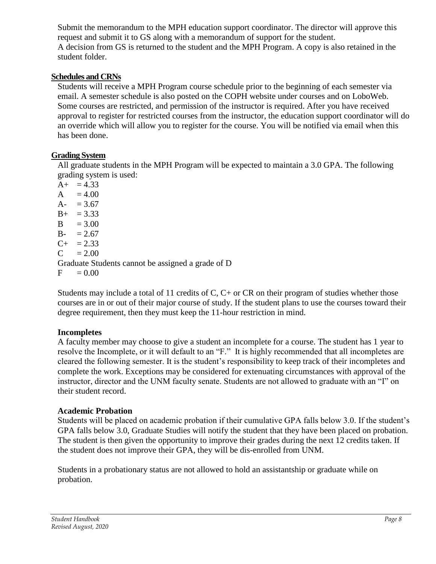Submit the memorandum to the MPH education support coordinator. The director will approve this request and submit it to GS along with a memorandum of support for the student. A decision from GS is returned to the student and the MPH Program. A copy is also retained in the student folder.

# <span id="page-7-0"></span>**Schedules and CRNs**

Students will receive a MPH Program course schedule prior to the beginning of each semester via email. A semester schedule is also posted on the COPH website under courses and on LoboWeb. Some courses are restricted, and permission of the instructor is required. After you have received approval to register for restricted courses from the instructor, the education support coordinator will do an override which will allow you to register for the course. You will be notified via email when this has been done.

# <span id="page-7-1"></span>**Grading System**

All graduate students in the MPH Program will be expected to maintain a 3.0 GPA. The following grading system is used:

 $A+ = 4.33$  $A = 4.00$  $A- = 3.67$  $B_{+}$  = 3.33  $B = 3.00$  $B - = 2.67$  $C_{+}$  = 2.33  $C = 2.00$ Graduate Students cannot be assigned a grade of D  $F = 0.00$ 

Students may include a total of 11 credits of C, C+ or CR on their program of studies whether those courses are in or out of their major course of study. If the student plans to use the courses toward their degree requirement, then they must keep the 11-hour restriction in mind.

# **Incompletes**

A faculty member may choose to give a student an incomplete for a course. The student has 1 year to resolve the Incomplete, or it will default to an "F." It is highly recommended that all incompletes are cleared the following semester. It is the student's responsibility to keep track of their incompletes and complete the work. Exceptions may be considered for extenuating circumstances with approval of the instructor, director and the UNM faculty senate. Students are not allowed to graduate with an "I" on their student record.

# **Academic Probation**

Students will be placed on academic probation if their cumulative GPA falls below 3.0. If the student's GPA falls below 3.0, Graduate Studies will notify the student that they have been placed on probation. The student is then given the opportunity to improve their grades during the next 12 credits taken. If the student does not improve their GPA, they will be dis-enrolled from UNM.

Students in a probationary status are not allowed to hold an assistantship or graduate while on probation.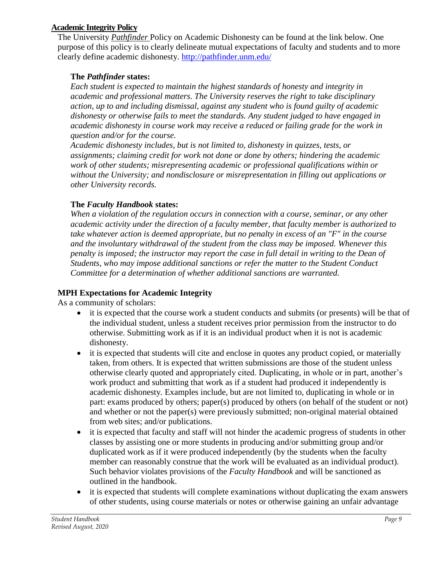# <span id="page-8-0"></span>**Academic Integrity Policy**

The University *Pathfinder* Policy on Academic Dishonesty can be found at the link below. One purpose of this policy is to clearly delineate mutual expectations of faculty and students and to more clearly define academic dishonesty.<http://pathfinder.unm.edu/>

# **The** *Pathfinder* **states:**

*Each student is expected to maintain the highest standards of honesty and integrity in academic and professional matters. The University reserves the right to take disciplinary action, up to and including dismissal, against any student who is found guilty of academic dishonesty or otherwise fails to meet the standards. Any student judged to have engaged in academic dishonesty in course work may receive a reduced or failing grade for the work in question and/or for the course.*

*Academic dishonesty includes, but is not limited to, dishonesty in quizzes, tests, or assignments; claiming credit for work not done or done by others; hindering the academic work of other students; misrepresenting academic or professional qualifications within or without the University; and nondisclosure or misrepresentation in filling out applications or other University records.*

# **The** *Faculty Handbook* **states:**

*When a violation of the regulation occurs in connection with a course, seminar, or any other academic activity under the direction of a faculty member, that faculty member is authorized to take whatever action is deemed appropriate, but no penalty in excess of an "F" in the course and the involuntary withdrawal of the student from the class may be imposed. Whenever this penalty is imposed; the instructor may report the case in full detail in writing to the Dean of Students, who may impose additional sanctions or refer the matter to the Student Conduct Committee for a determination of whether additional sanctions are warranted.*

# **MPH Expectations for Academic Integrity**

As a community of scholars:

- it is expected that the course work a student conducts and submits (or presents) will be that of the individual student, unless a student receives prior permission from the instructor to do otherwise. Submitting work as if it is an individual product when it is not is academic dishonesty.
- it is expected that students will cite and enclose in quotes any product copied, or materially taken, from others. It is expected that written submissions are those of the student unless otherwise clearly quoted and appropriately cited. Duplicating, in whole or in part, another's work product and submitting that work as if a student had produced it independently is academic dishonesty. Examples include, but are not limited to, duplicating in whole or in part: exams produced by others; paper(s) produced by others (on behalf of the student or not) and whether or not the paper(s) were previously submitted; non-original material obtained from web sites; and/or publications.
- it is expected that faculty and staff will not hinder the academic progress of students in other classes by assisting one or more students in producing and/or submitting group and/or duplicated work as if it were produced independently (by the students when the faculty member can reasonably construe that the work will be evaluated as an individual product). Such behavior violates provisions of the *Faculty Handbook* and will be sanctioned as outlined in the handbook.
- it is expected that students will complete examinations without duplicating the exam answers of other students, using course materials or notes or otherwise gaining an unfair advantage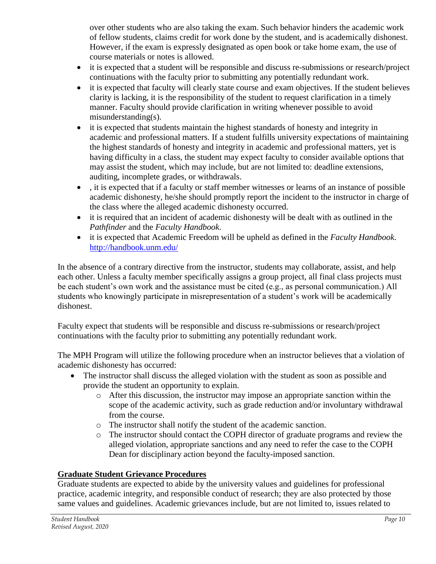over other students who are also taking the exam. Such behavior hinders the academic work of fellow students, claims credit for work done by the student, and is academically dishonest. However, if the exam is expressly designated as open book or take home exam, the use of course materials or notes is allowed.

- it is expected that a student will be responsible and discuss re-submissions or research/project continuations with the faculty prior to submitting any potentially redundant work.
- it is expected that faculty will clearly state course and exam objectives. If the student believes clarity is lacking, it is the responsibility of the student to request clarification in a timely manner. Faculty should provide clarification in writing whenever possible to avoid misunderstanding(s).
- it is expected that students maintain the highest standards of honesty and integrity in academic and professional matters. If a student fulfills university expectations of maintaining the highest standards of honesty and integrity in academic and professional matters, yet is having difficulty in a class, the student may expect faculty to consider available options that may assist the student, which may include, but are not limited to: deadline extensions, auditing, incomplete grades, or withdrawals.
- , it is expected that if a faculty or staff member witnesses or learns of an instance of possible academic dishonesty, he/she should promptly report the incident to the instructor in charge of the class where the alleged academic dishonesty occurred.
- it is required that an incident of academic dishonesty will be dealt with as outlined in the *Pathfinder* and the *Faculty Handbook*.
- it is expected that Academic Freedom will be upheld as defined in the *Faculty Handbook*. <http://handbook.unm.edu/>

In the absence of a contrary directive from the instructor, students may collaborate, assist, and help each other. Unless a faculty member specifically assigns a group project, all final class projects must be each student's own work and the assistance must be cited (e.g., as personal communication.) All students who knowingly participate in misrepresentation of a student's work will be academically dishonest.

Faculty expect that students will be responsible and discuss re-submissions or research/project continuations with the faculty prior to submitting any potentially redundant work.

The MPH Program will utilize the following procedure when an instructor believes that a violation of academic dishonesty has occurred:

- The instructor shall discuss the alleged violation with the student as soon as possible and provide the student an opportunity to explain.
	- o After this discussion, the instructor may impose an appropriate sanction within the scope of the academic activity, such as grade reduction and/or involuntary withdrawal from the course.
	- o The instructor shall notify the student of the academic sanction.
	- o The instructor should contact the COPH director of graduate programs and review the alleged violation, appropriate sanctions and any need to refer the case to the COPH Dean for disciplinary action beyond the faculty-imposed sanction.

# **Graduate Student Grievance Procedures**

Graduate students are expected to abide by the university values and guidelines for professional practice, academic integrity, and responsible conduct of research; they are also protected by those same values and guidelines. Academic grievances include, but are not limited to, issues related to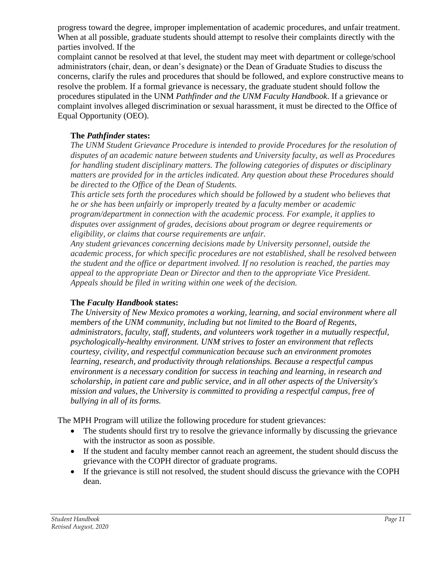progress toward the degree, improper implementation of academic procedures, and unfair treatment. When at all possible, graduate students should attempt to resolve their complaints directly with the parties involved. If the

complaint cannot be resolved at that level, the student may meet with department or college/school administrators (chair, dean, or dean's designate) or the Dean of Graduate Studies to discuss the concerns, clarify the rules and procedures that should be followed, and explore constructive means to resolve the problem. If a formal grievance is necessary, the graduate student should follow the procedures stipulated in the UNM *Pathfinder and the UNM Faculty Handbook*. If a grievance or complaint involves alleged discrimination or sexual harassment, it must be directed to the Office of Equal Opportunity (OEO).

# **The** *Pathfinder* **states:**

*The UNM Student Grievance Procedure is intended to provide Procedures for the resolution of disputes of an academic nature between students and University faculty, as well as Procedures for handling student disciplinary matters. The following categories of disputes or disciplinary matters are provided for in the articles indicated. Any question about these Procedures should be directed to the Office of the Dean of Students.*

*This article sets forth the procedures which should be followed by a student who believes that he or she has been unfairly or improperly treated by a faculty member or academic program/department in connection with the academic process. For example, it applies to disputes over assignment of grades, decisions about program or degree requirements or eligibility, or claims that course requirements are unfair.*

*Any student grievances concerning decisions made by University personnel, outside the academic process, for which specific procedures are not established, shall be resolved between the student and the office or department involved. If no resolution is reached, the parties may appeal to the appropriate Dean or Director and then to the appropriate Vice President. Appeals should be filed in writing within one week of the decision.*

# **The** *Faculty Handbook* **states:**

*The University of New Mexico promotes a working, learning, and social environment where all members of the UNM community, including but not limited to the Board of Regents, administrators, faculty, staff, students, and volunteers work together in a mutually respectful, psychologically-healthy environment. UNM strives to foster an environment that reflects courtesy, civility, and respectful communication because such an environment promotes learning, research, and productivity through relationships. Because a respectful campus environment is a necessary condition for success in teaching and learning, in research and scholarship, in patient care and public service, and in all other aspects of the University's mission and values, the University is committed to providing a respectful campus, free of bullying in all of its forms.*

The MPH Program will utilize the following procedure for student grievances:

- The students should first try to resolve the grievance informally by discussing the grievance with the instructor as soon as possible.
- If the student and faculty member cannot reach an agreement, the student should discuss the grievance with the COPH director of graduate programs.
- If the grievance is still not resolved, the student should discuss the grievance with the COPH dean.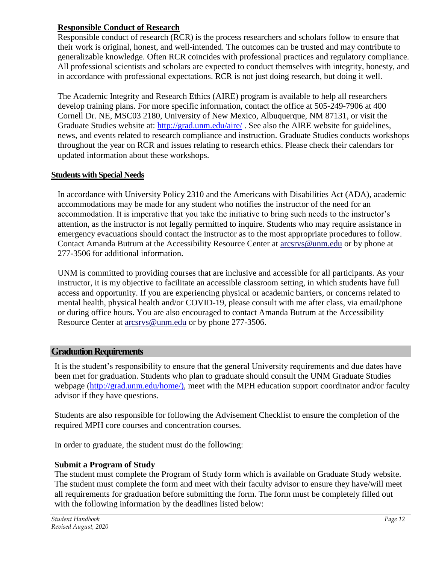### **Responsible Conduct of Research**

Responsible conduct of research (RCR) is the process researchers and scholars follow to ensure that their work is original, honest, and well-intended. The outcomes can be trusted and may contribute to generalizable knowledge. Often RCR coincides with professional practices and regulatory compliance. All professional scientists and scholars are expected to conduct themselves with integrity, honesty, and in accordance with professional expectations. RCR is not just doing research, but doing it well.

The Academic Integrity and Research Ethics (AIRE) program is available to help all researchers develop training plans. For more specific information, contact the office at 505-249-7906 at 400 Cornell Dr. NE, MSC03 2180, University of New Mexico, Albuquerque, NM 87131, or visit the Graduate Studies website at:<http://grad.unm.edu/aire/> . See also the AIRE website for guidelines, news, and events related to research compliance and instruction. Graduate Studies conducts workshops throughout the year on RCR and issues relating to research ethics. Please check their calendars for updated information about these workshops.

# <span id="page-11-0"></span>**Students with Special Needs**

In accordance with University Policy 2310 and the Americans with Disabilities Act (ADA), academic accommodations may be made for any student who notifies the instructor of the need for an accommodation. It is imperative that you take the initiative to bring such needs to the instructor's attention, as the instructor is not legally permitted to inquire. Students who may require assistance in emergency evacuations should contact the instructor as to the most appropriate procedures to follow. Contact Amanda Butrum at the Accessibility Resource Center at [arcsrvs@unm.edu](mailto:arcsrvs@unm.edu) or by phone at 277-3506 for additional information.

UNM is committed to providing courses that are inclusive and accessible for all participants. As your instructor, it is my objective to facilitate an accessible classroom setting, in which students have full access and opportunity. If you are experiencing physical or academic barriers, or concerns related to mental health, physical health and/or COVID-19, please consult with me after class, via email/phone or during office hours. You are also encouraged to contact Amanda Butrum at the Accessibility Resource Center at [arcsrvs@unm.edu](mailto:arcsrvs@unm.edu) or by phone 277-3506.

# <span id="page-11-1"></span>**Graduation Requirements**

It is the student's responsibility to ensure that the general University requirements and due dates have been met for graduation. Students who plan to graduate should consult the UNM Graduate Studies webpage [\(http://grad.unm.edu/home/\)](http://grad.unm.edu/home/), meet with the MPH education support coordinator and/or faculty advisor if they have questions.

Students are also responsible for following the Advisement Checklist to ensure the completion of the required MPH core courses and concentration courses.

In order to graduate, the student must do the following:

# **Submit a Program of Study**

The student must complete the Program of Study form which is available on Graduate Study website. The student must complete the form and meet with their faculty advisor to ensure they have/will meet all requirements for graduation before submitting the form. The form must be completely filled out with the following information by the deadlines listed below: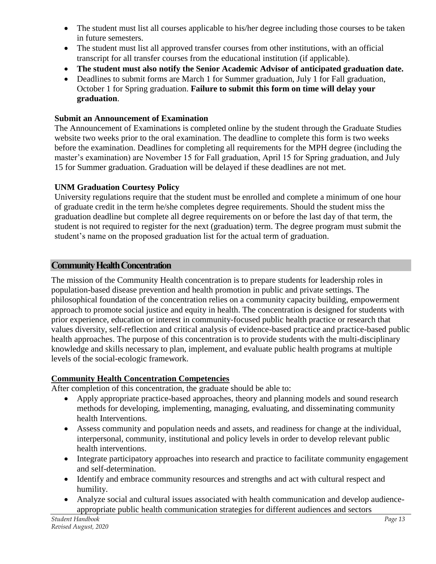- The student must list all courses applicable to his/her degree including those courses to be taken in future semesters.
- The student must list all approved transfer courses from other institutions, with an official transcript for all transfer courses from the educational institution (if applicable).
- **The student must also notify the Senior Academic Advisor of anticipated graduation date.**
- Deadlines to submit forms are March 1 for Summer graduation, July 1 for Fall graduation, October 1 for Spring graduation. **Failure to submit this form on time will delay your graduation**.

# **Submit an Announcement of Examination**

The Announcement of Examinations is completed online by the student through the Graduate Studies website two weeks prior to the oral examination. The deadline to complete this form is two weeks before the examination. Deadlines for completing all requirements for the MPH degree (including the master's examination) are November 15 for Fall graduation, April 15 for Spring graduation, and July 15 for Summer graduation. Graduation will be delayed if these deadlines are not met.

# **UNM Graduation Courtesy Policy**

University regulations require that the student must be enrolled and complete a minimum of one hour of graduate credit in the term he/she completes degree requirements. Should the student miss the graduation deadline but complete all degree requirements on or before the last day of that term, the student is not required to register for the next (graduation) term. The degree program must submit the student's name on the proposed graduation list for the actual term of graduation.

# <span id="page-12-0"></span>**Community Health Concentration**

The mission of the Community Health concentration is to prepare students for leadership roles in population-based disease prevention and health promotion in public and private settings. The philosophical foundation of the concentration relies on a community capacity building, empowerment approach to promote social justice and equity in health. The concentration is designed for students with prior experience, education or interest in community-focused public health practice or research that values diversity, self-reflection and critical analysis of evidence-based practice and practice-based public health approaches. The purpose of this concentration is to provide students with the multi-disciplinary knowledge and skills necessary to plan, implement, and evaluate public health programs at multiple levels of the social-ecologic framework.

# **Community Health Concentration Competencies**

After completion of this concentration, the graduate should be able to:

- Apply appropriate practice-based approaches, theory and planning models and sound research methods for developing, implementing, managing, evaluating, and disseminating community health Interventions.
- Assess community and population needs and assets, and readiness for change at the individual, interpersonal, community, institutional and policy levels in order to develop relevant public health interventions.
- Integrate participatory approaches into research and practice to facilitate community engagement and self-determination.
- Identify and embrace community resources and strengths and act with cultural respect and humility.
- Analyze social and cultural issues associated with health communication and develop audienceappropriate public health communication strategies for different audiences and sectors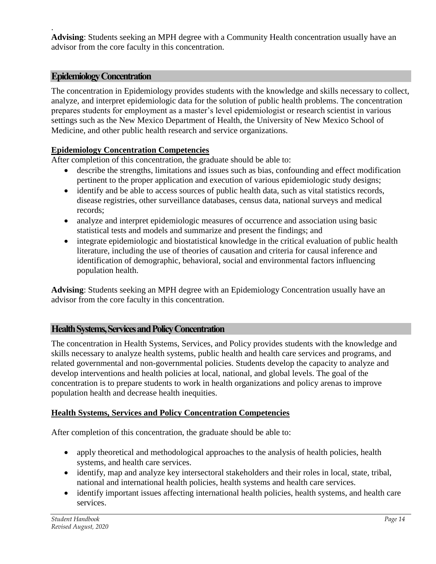. **Advising**: Students seeking an MPH degree with a Community Health concentration usually have an advisor from the core faculty in this concentration.

# <span id="page-13-0"></span>**Epidemiology Concentration**

The concentration in Epidemiology provides students with the knowledge and skills necessary to collect, analyze, and interpret epidemiologic data for the solution of public health problems. The concentration prepares students for employment as a master's level epidemiologist or research scientist in various settings such as the New Mexico Department of Health, the University of New Mexico School of Medicine, and other public health research and service organizations.

# **Epidemiology Concentration Competencies**

After completion of this concentration, the graduate should be able to:

- describe the strengths, limitations and issues such as bias, confounding and effect modification pertinent to the proper application and execution of various epidemiologic study designs;
- identify and be able to access sources of public health data, such as vital statistics records, disease registries, other surveillance databases, census data, national surveys and medical records;
- analyze and interpret epidemiologic measures of occurrence and association using basic statistical tests and models and summarize and present the findings; and
- integrate epidemiologic and biostatistical knowledge in the critical evaluation of public health literature, including the use of theories of causation and criteria for causal inference and identification of demographic, behavioral, social and environmental factors influencing population health.

**Advising**: Students seeking an MPH degree with an Epidemiology Concentration usually have an advisor from the core faculty in this concentration.

# <span id="page-13-1"></span>**Health Systems, Services and Policy Concentration**

The concentration in Health Systems, Services, and Policy provides students with the knowledge and skills necessary to analyze health systems, public health and health care services and programs, and related governmental and non-governmental policies. Students develop the capacity to analyze and develop interventions and health policies at local, national, and global levels. The goal of the concentration is to prepare students to work in health organizations and policy arenas to improve population health and decrease health inequities.

# **Health Systems, Services and Policy Concentration Competencies**

After completion of this concentration, the graduate should be able to:

- apply theoretical and methodological approaches to the analysis of health policies, health systems, and health care services.
- identify, map and analyze key intersectoral stakeholders and their roles in local, state, tribal, national and international health policies, health systems and health care services.
- identify important issues affecting international health policies, health systems, and health care services.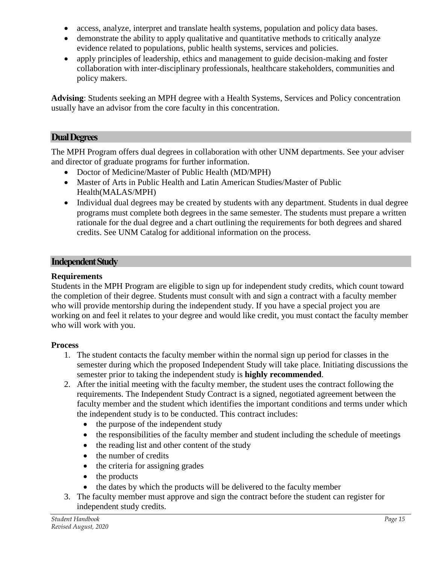- access, analyze, interpret and translate health systems, population and policy data bases.
- demonstrate the ability to apply qualitative and quantitative methods to critically analyze evidence related to populations, public health systems, services and policies.
- apply principles of leadership, ethics and management to guide decision-making and foster collaboration with inter-disciplinary professionals, healthcare stakeholders, communities and policy makers.

**Advising**: Students seeking an MPH degree with a Health Systems, Services and Policy concentration usually have an advisor from the core faculty in this concentration.

# <span id="page-14-0"></span>**Dual Degrees**

The MPH Program offers dual degrees in collaboration with other UNM departments. See your adviser and director of graduate programs for further information.

- Doctor of Medicine/Master of Public Health (MD/MPH)
- Master of Arts in Public Health and Latin American Studies/Master of Public Health(MALAS/MPH)
- Individual dual degrees may be created by students with any department. Students in dual degree programs must complete both degrees in the same semester. The students must prepare a written rationale for the dual degree and a chart outlining the requirements for both degrees and shared credits. See UNM Catalog for additional information on the process.

# <span id="page-14-1"></span>**Independent Study**

# **Requirements**

Students in the MPH Program are eligible to sign up for independent study credits, which count toward the completion of their degree. Students must consult with and sign a contract with a faculty member who will provide mentorship during the independent study. If you have a special project you are working on and feel it relates to your degree and would like credit, you must contact the faculty member who will work with you.

# **Process**

- 1. The student contacts the faculty member within the normal sign up period for classes in the semester during which the proposed Independent Study will take place*.* Initiating discussions the semester prior to taking the independent study is **highly recommended**.
- 2. After the initial meeting with the faculty member, the student uses the contract following the requirements. The Independent Study Contract is a signed, negotiated agreement between the faculty member and the student which identifies the important conditions and terms under which the independent study is to be conducted. This contract includes:
	- the purpose of the independent study
	- the responsibilities of the faculty member and student including the schedule of meetings
	- the reading list and other content of the study
	- the number of credits
	- the criteria for assigning grades
	- the products
	- the dates by which the products will be delivered to the faculty member
- 3. The faculty member must approve and sign the contract before the student can register for independent study credits.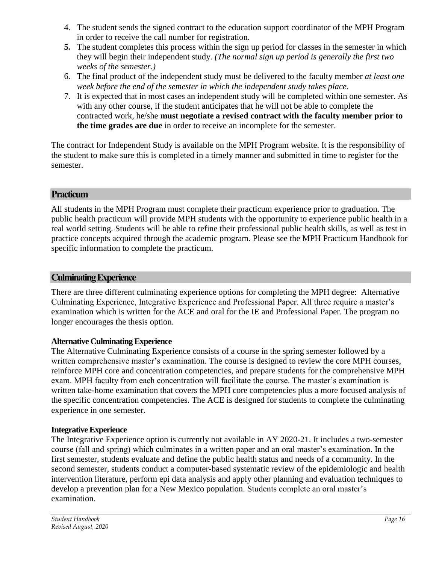- 4. The student sends the signed contract to the education support coordinator of the MPH Program in order to receive the call number for registration.
- **5.** The student completes this process within the sign up period for classes in the semester in which they will begin their independent study. *(The normal sign up period is generally the first two weeks of the semester.)*
- 6. The final product of the independent study must be delivered to the faculty member *at least one week before the end of the semester in which the independent study takes place*.
- 7. It is expected that in most cases an independent study will be completed within one semester. As with any other course, if the student anticipates that he will not be able to complete the contracted work, he/she **must negotiate a revised contract with the faculty member prior to the time grades are due** in order to receive an incomplete for the semester.

The contract for Independent Study is available on the MPH Program website. It is the responsibility of the student to make sure this is completed in a timely manner and submitted in time to register for the semester.

# <span id="page-15-0"></span>**Practicum**

All students in the MPH Program must complete their practicum experience prior to graduation. The public health practicum will provide MPH students with the opportunity to experience public health in a real world setting. Students will be able to refine their professional public health skills, as well as test in practice concepts acquired through the academic program. Please see the MPH Practicum Handbook for specific information to complete the practicum.

# <span id="page-15-1"></span>**Culminating Experience**

There are three different culminating experience options for completing the MPH degree: Alternative Culminating Experience, Integrative Experience and Professional Paper. All three require a master's examination which is written for the ACE and oral for the IE and Professional Paper. The program no longer encourages the thesis option.

# <span id="page-15-2"></span>**Alternative Culminating Experience**

The Alternative Culminating Experience consists of a course in the spring semester followed by a written comprehensive master's examination. The course is designed to review the core MPH courses, reinforce MPH core and concentration competencies, and prepare students for the comprehensive MPH exam. MPH faculty from each concentration will facilitate the course. The master's examination is written take-home examination that covers the MPH core competencies plus a more focused analysis of the specific concentration competencies. The ACE is designed for students to complete the culminating experience in one semester.

# <span id="page-15-3"></span>**Integrative Experience**

The Integrative Experience option is currently not available in AY 2020-21. It includes a two-semester course (fall and spring) which culminates in a written paper and an oral master's examination. In the first semester, students evaluate and define the public health status and needs of a community. In the second semester, students conduct a computer-based systematic review of the epidemiologic and health intervention literature, perform epi data analysis and apply other planning and evaluation techniques to develop a prevention plan for a New Mexico population. Students complete an oral master's examination.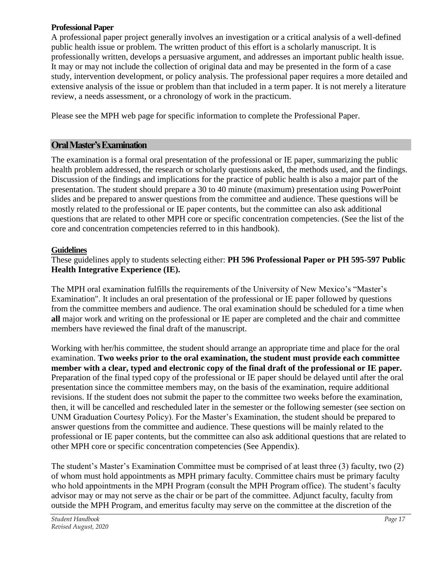#### <span id="page-16-0"></span>**Professional Paper**

A professional paper project generally involves an investigation or a critical analysis of a well-defined public health issue or problem. The written product of this effort is a scholarly manuscript. It is professionally written, develops a persuasive argument, and addresses an important public health issue. It may or may not include the collection of original data and may be presented in the form of a case study, intervention development, or policy analysis. The professional paper requires a more detailed and extensive analysis of the issue or problem than that included in a term paper. It is not merely a literature review, a needs assessment, or a chronology of work in the practicum.

Please see the MPH web page for specific information to complete the Professional Paper.

# <span id="page-16-1"></span>**Oral Master's Examination**

The examination is a formal oral presentation of the professional or IE paper, summarizing the public health problem addressed, the research or scholarly questions asked, the methods used, and the findings. Discussion of the findings and implications for the practice of public health is also a major part of the presentation. The student should prepare a 30 to 40 minute (maximum) presentation using PowerPoint slides and be prepared to answer questions from the committee and audience. These questions will be mostly related to the professional or IE paper contents, but the committee can also ask additional questions that are related to other MPH core or specific concentration competencies. (See the list of the core and concentration competencies referred to in this handbook).

# <span id="page-16-2"></span>**Guidelines**

These guidelines apply to students selecting either: **PH 596 Professional Paper or PH 595-597 Public Health Integrative Experience (IE).**

The MPH oral examination fulfills the requirements of the University of New Mexico's "Master's Examination". It includes an oral presentation of the professional or IE paper followed by questions from the committee members and audience. The oral examination should be scheduled for a time when **all** major work and writing on the professional or IE paper are completed and the chair and committee members have reviewed the final draft of the manuscript.

Working with her/his committee, the student should arrange an appropriate time and place for the oral examination. **Two weeks prior to the oral examination, the student must provide each committee member with a clear, typed and electronic copy of the final draft of the professional or IE paper.** Preparation of the final typed copy of the professional or IE paper should be delayed until after the oral presentation since the committee members may, on the basis of the examination, require additional revisions. If the student does not submit the paper to the committee two weeks before the examination, then, it will be cancelled and rescheduled later in the semester or the following semester (see section on UNM Graduation Courtesy Policy). For the Master's Examination, the student should be prepared to answer questions from the committee and audience. These questions will be mainly related to the professional or IE paper contents, but the committee can also ask additional questions that are related to other MPH core or specific concentration competencies (See Appendix).

The student's Master's Examination Committee must be comprised of at least three (3) faculty, two (2) of whom must hold appointments as MPH primary faculty. Committee chairs must be primary faculty who hold appointments in the MPH Program (consult the MPH Program office). The student's faculty advisor may or may not serve as the chair or be part of the committee. Adjunct faculty, faculty from outside the MPH Program, and emeritus faculty may serve on the committee at the discretion of the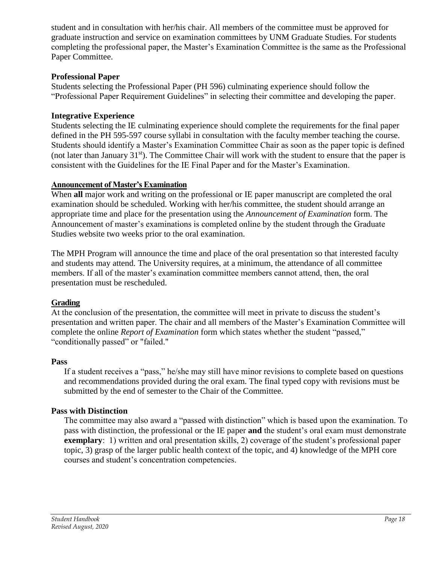student and in consultation with her/his chair. All members of the committee must be approved for graduate instruction and service on examination committees by UNM Graduate Studies. For students completing the professional paper, the Master's Examination Committee is the same as the Professional Paper Committee.

# **Professional Paper**

Students selecting the Professional Paper (PH 596) culminating experience should follow the "Professional Paper Requirement Guidelines" in selecting their committee and developing the paper.

# **Integrative Experience**

Students selecting the IE culminating experience should complete the requirements for the final paper defined in the PH 595-597 course syllabi in consultation with the faculty member teaching the course. Students should identify a Master's Examination Committee Chair as soon as the paper topic is defined (not later than January  $31<sup>st</sup>$ ). The Committee Chair will work with the student to ensure that the paper is consistent with the Guidelines for the IE Final Paper and for the Master's Examination.

# <span id="page-17-0"></span>**Announcement of Master's Examination**

When **all** major work and writing on the professional or IE paper manuscript are completed the oral examination should be scheduled. Working with her/his committee, the student should arrange an appropriate time and place for the presentation using the *Announcement of Examination* form. The Announcement of master's examinations is completed online by the student through the Graduate Studies website two weeks prior to the oral examination.

The MPH Program will announce the time and place of the oral presentation so that interested faculty and students may attend. The University requires, at a minimum, the attendance of all committee members. If all of the master's examination committee members cannot attend, then, the oral presentation must be rescheduled.

# <span id="page-17-1"></span>**Grading**

At the conclusion of the presentation, the committee will meet in private to discuss the student's presentation and written paper. The chair and all members of the Master's Examination Committee will complete the online *Report of Examination* form which states whether the student "passed," "conditionally passed" or "failed."

# **Pass**

If a student receives a "pass," he/she may still have minor revisions to complete based on questions and recommendations provided during the oral exam. The final typed copy with revisions must be submitted by the end of semester to the Chair of the Committee.

# **Pass with Distinction**

The committee may also award a "passed with distinction" which is based upon the examination. To pass with distinction, the professional or the IE paper **and** the student's oral exam must demonstrate **exemplary**: 1) written and oral presentation skills, 2) coverage of the student's professional paper topic, 3) grasp of the larger public health context of the topic, and 4) knowledge of the MPH core courses and student's concentration competencies.